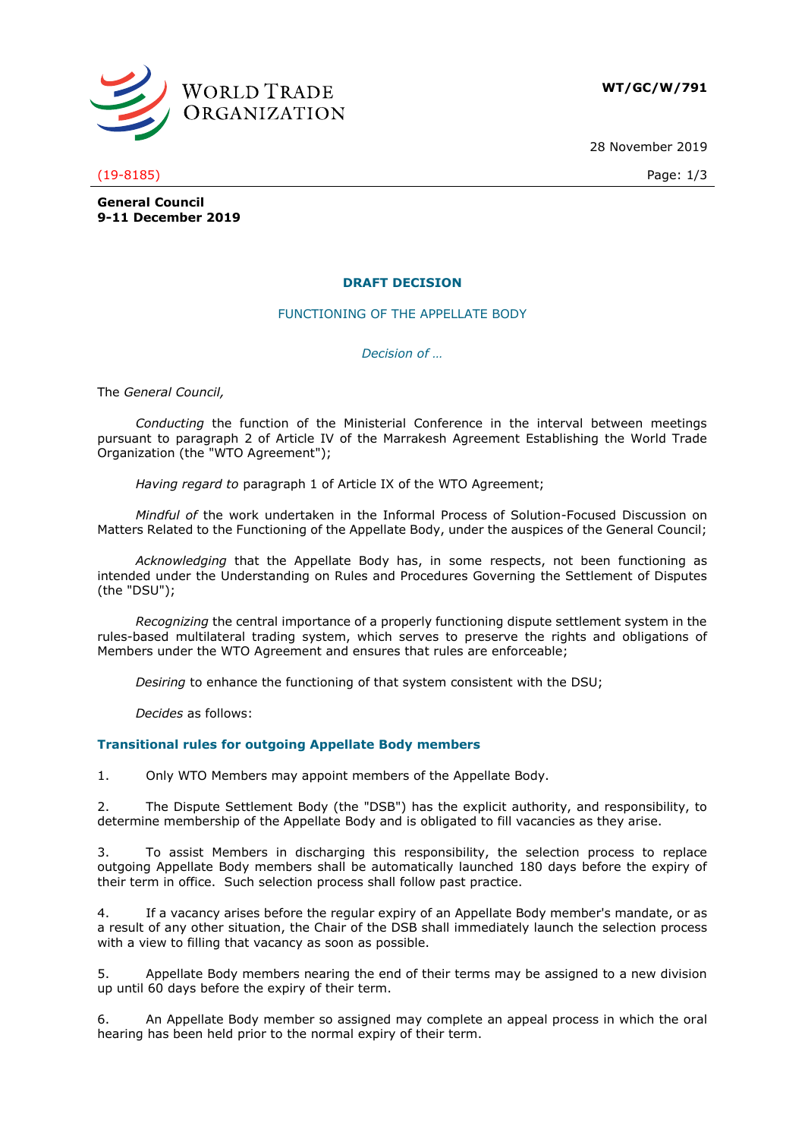

**WT/GC/W/791**

28 November 2019

## (19-8185) Page: 1/3

**General Council 9-11 December 2019**

# **DRAFT DECISION**

FUNCTIONING OF THE APPELLATE BODY

*Decision of …*

The *General Council,*

*Conducting* the function of the Ministerial Conference in the interval between meetings pursuant to paragraph 2 of Article IV of the Marrakesh Agreement Establishing the World Trade Organization (the "WTO Agreement");

*Having regard to* paragraph 1 of Article IX of the WTO Agreement;

*Mindful of* the work undertaken in the Informal Process of Solution-Focused Discussion on Matters Related to the Functioning of the Appellate Body, under the auspices of the General Council;

*Acknowledging* that the Appellate Body has, in some respects, not been functioning as intended under the Understanding on Rules and Procedures Governing the Settlement of Disputes (the "DSU");

*Recognizing* the central importance of a properly functioning dispute settlement system in the rules-based multilateral trading system, which serves to preserve the rights and obligations of Members under the WTO Agreement and ensures that rules are enforceable;

*Desiring* to enhance the functioning of that system consistent with the DSU;

*Decides* as follows:

# **Transitional rules for outgoing Appellate Body members**

1. Only WTO Members may appoint members of the Appellate Body.

2. The Dispute Settlement Body (the "DSB") has the explicit authority, and responsibility, to determine membership of the Appellate Body and is obligated to fill vacancies as they arise.

3. To assist Members in discharging this responsibility, the selection process to replace outgoing Appellate Body members shall be automatically launched 180 days before the expiry of their term in office. Such selection process shall follow past practice.

4. If a vacancy arises before the regular expiry of an Appellate Body member's mandate, or as a result of any other situation, the Chair of the DSB shall immediately launch the selection process with a view to filling that vacancy as soon as possible.

5. Appellate Body members nearing the end of their terms may be assigned to a new division up until 60 days before the expiry of their term.

6. An Appellate Body member so assigned may complete an appeal process in which the oral hearing has been held prior to the normal expiry of their term.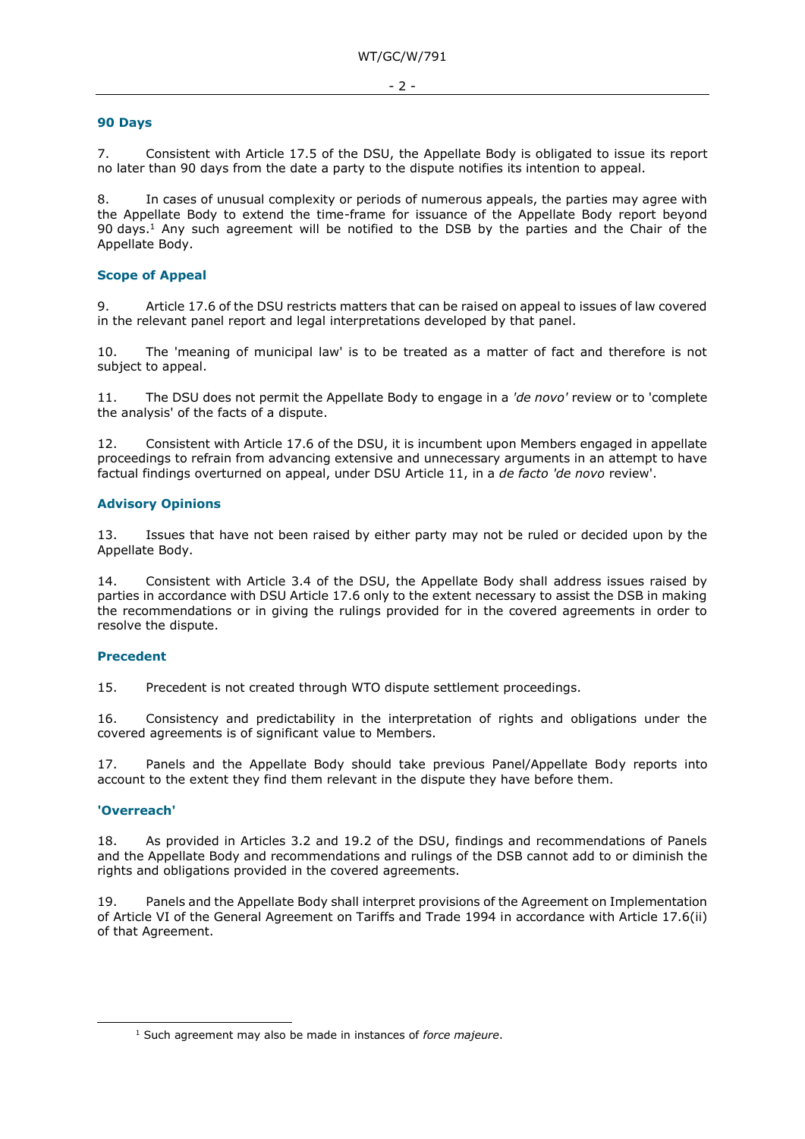#### **90 Days**

7. Consistent with Article 17.5 of the DSU, the Appellate Body is obligated to issue its report no later than 90 days from the date a party to the dispute notifies its intention to appeal.

8. In cases of unusual complexity or periods of numerous appeals, the parties may agree with the Appellate Body to extend the time-frame for issuance of the Appellate Body report beyond 90 days.<sup>1</sup> Any such agreement will be notified to the DSB by the parties and the Chair of the Appellate Body.

## **Scope of Appeal**

9. Article 17.6 of the DSU restricts matters that can be raised on appeal to issues of law covered in the relevant panel report and legal interpretations developed by that panel.

10. The 'meaning of municipal law' is to be treated as a matter of fact and therefore is not subject to appeal.

11. The DSU does not permit the Appellate Body to engage in a *'de novo'* review or to 'complete the analysis' of the facts of a dispute.

12. Consistent with Article 17.6 of the DSU, it is incumbent upon Members engaged in appellate proceedings to refrain from advancing extensive and unnecessary arguments in an attempt to have factual findings overturned on appeal, under DSU Article 11, in a *de facto 'de novo* review'.

#### **Advisory Opinions**

13. Issues that have not been raised by either party may not be ruled or decided upon by the Appellate Body.

14. Consistent with Article 3.4 of the DSU, the Appellate Body shall address issues raised by parties in accordance with DSU Article 17.6 only to the extent necessary to assist the DSB in making the recommendations or in giving the rulings provided for in the covered agreements in order to resolve the dispute.

#### **Precedent**

15. Precedent is not created through WTO dispute settlement proceedings.

16. Consistency and predictability in the interpretation of rights and obligations under the covered agreements is of significant value to Members.

17. Panels and the Appellate Body should take previous Panel/Appellate Body reports into account to the extent they find them relevant in the dispute they have before them.

#### **'Overreach'**

-

18. As provided in Articles 3.2 and 19.2 of the DSU, findings and recommendations of Panels and the Appellate Body and recommendations and rulings of the DSB cannot add to or diminish the rights and obligations provided in the covered agreements.

19. Panels and the Appellate Body shall interpret provisions of the Agreement on Implementation of Article VI of the General Agreement on Tariffs and Trade 1994 in accordance with Article 17.6(ii) of that Agreement.

<sup>1</sup> Such agreement may also be made in instances of *force majeure*.